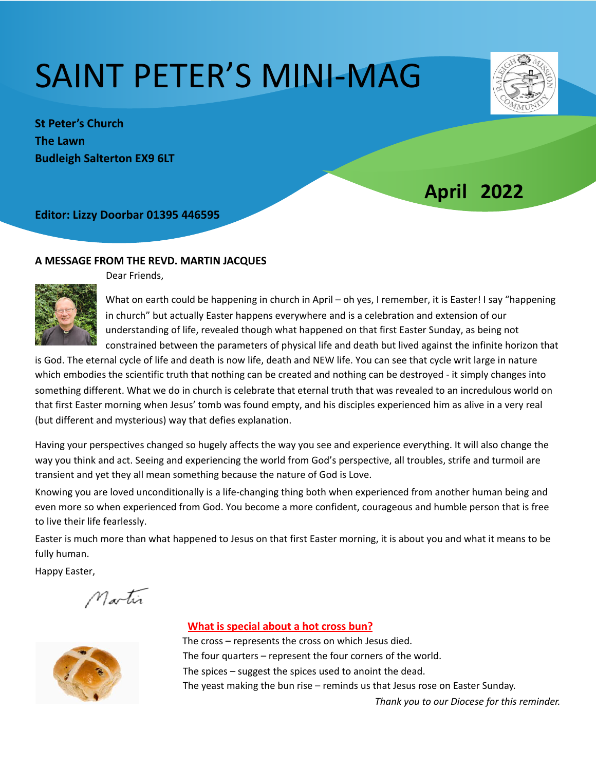# SAINT PETER'S MINI-MAG



**St Peter's Church The Lawn Budleigh Salterton EX9 6LT** 

# *<u>April 2022</u>*

**Editor: Lizzy Doorbar 01395 446595** 

#### A MESSAGE FROM THE REVD. MARTIN JACQUES



 $\mathbf{L}$ 

Dear Friends,

What on earth could be happening in church in April – oh yes, I remember, it is Easter! I say "happening in church" but actually Easter happens everywhere and is a celebration and extension of our understanding of life, revealed though what happened on that first Easter Sunday, as being not constrained between the parameters of physical life and death but lived against the infinite horizon that

is God. The eternal cycle of life and death is now life, death and NEW life. You can see that cycle writ large in nature which embodies the scientific truth that nothing can be created and nothing can be destroyed - it simply changes into something different. What we do in church is celebrate that eternal truth that was revealed to an incredulous world on that first Easter morning when Jesus' tomb was found empty, and his disciples experienced him as alive in a very real (but different and mysterious) way that defies explanation.

Having your perspectives changed so hugely affects the way you see and experience everything. It will also change the way you think and act. Seeing and experiencing the world from God's perspective, all troubles, strife and turmoil are transient and yet they all mean something because the nature of God is Love.

Knowing you are loved unconditionally is a life-changing thing both when experienced from another human being and even more so when experienced from God. You become a more confident, courageous and humble person that is free to live their life fearlessly.

Easter is much more than what happened to Jesus on that first Easter morning, it is about you and what it means to be fully human.

Happy Easter,

Martin



#### **What is special about a hot cross bun?**

The cross  $-$  represents the cross on which Jesus died. The four quarters  $-$  represent the four corners of the world. The spices  $-$  suggest the spices used to anoint the dead. The yeast making the bun rise  $-$  reminds us that Jesus rose on Easter Sunday.

*Thank you to our Diocese for this reminder.*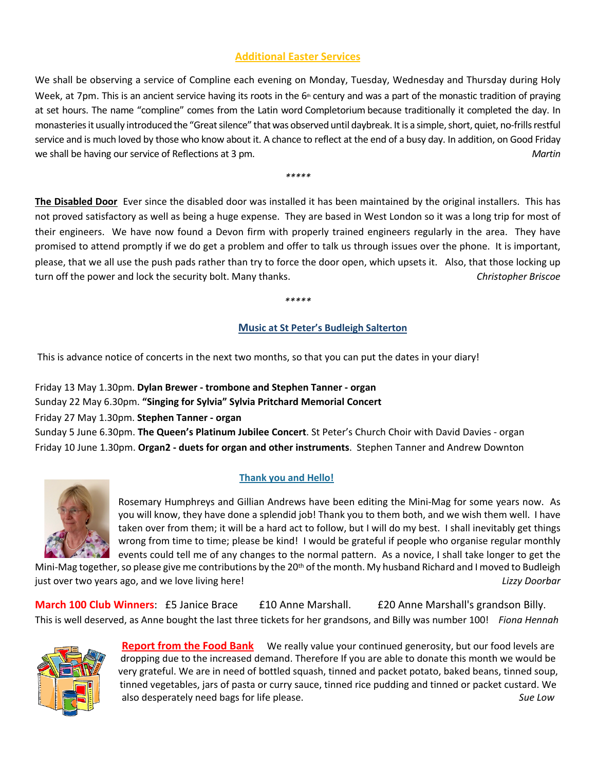### **Additional Easter Services**

We shall be observing a service of Compline each evening on Monday, Tuesday, Wednesday and Thursday during Holy Week, at  $7$ pm. This is an ancient service having its roots in the  $6<sup>th</sup>$  century and was a part of the monastic tradition of praying at set hours. The name "compline" comes from the Latin word Completorium because traditionally it completed the day. In monasteries it usually introduced the "Great silence" that was observed until daybreak. It is a simple, short, quiet, no-frills restful service and is much loved by those who know about it. A chance to reflect at the end of a busy day. In addition, on Good Friday we shall be having our service of Reflections at 3 pm.  $\blacksquare$  and the state of the state of the state of the state of the state of the state of the state of the state of the state of the state of the state of the state of

*\*\*\*\*\**

**The Disabled Door** Ever since the disabled door was installed it has been maintained by the original installers. This has not proved satisfactory as well as being a huge expense. They are based in West London so it was a long trip for most of their engineers. We have now found a Devon firm with properly trained engineers regularly in the area. They have promised to attend promptly if we do get a problem and offer to talk us through issues over the phone. It is important, please, that we all use the push pads rather than try to force the door open, which upsets it. Also, that those locking up turn off the power and lock the security bolt. Many thanks. **Accomoly 10 and 10 and 10 and 10 and 10 and 10 and 10 and 10 and 10 and 10 and 10 and 10 and 10 and 10 and 10 and 10 and 10 and 10 and 10 and 10 and 10 and 10 an** 

*\*\*\*\*\**

#### **Music at St Peter's Budleigh Salterton**

This is advance notice of concerts in the next two months, so that you can put the dates in your diary!

Friday 13 May 1.30pm. **Dylan Brewer - trombone and Stephen Tanner - organ** Sunday 22 May 6.30pm. "Singing for Sylvia" Sylvia Pritchard Memorial Concert Friday 27 May 1.30pm. **Stephen Tanner - organ** Sunday 5 June 6.30pm. The Queen's Platinum Jubilee Concert. St Peter's Church Choir with David Davies - organ Friday 10 June 1.30pm. Organ2 - duets for organ and other instruments. Stephen Tanner and Andrew Downton



#### **Thank you and Hello!**

Rosemary Humphreys and Gillian Andrews have been editing the Mini-Mag for some years now. As you will know, they have done a splendid job! Thank you to them both, and we wish them well. I have taken over from them; it will be a hard act to follow, but I will do my best. I shall inevitably get things wrong from time to time; please be kind! I would be grateful if people who organise regular monthly events could tell me of any changes to the normal pattern. As a novice, I shall take longer to get the

Mini-Mag together, so please give me contributions by the 20<sup>th</sup> of the month. My husband Richard and I moved to Budleigh in the solution of the solution of the solution of the solution of the solution of the solution of the solution of the solution of the solution of the solution of the solution of the solution of the solution of the solutio

**March 100 Club Winners**: £5 Janice Brace £10 Anne Marshall. £20 Anne Marshall's grandson Billy. This is well deserved, as Anne bought the last three tickets for her grandsons, and Billy was number 100! Fiona Hennah



**Report from the Food Bank** We really value your continued generosity, but our food levels are dropping due to the increased demand. Therefore If you are able to donate this month we would be very grateful. We are in need of bottled squash, tinned and packet potato, baked beans, tinned soup, tinned vegetables, jars of pasta or curry sauce, tinned rice pudding and tinned or packet custard. We also desperately need bags for life please.  $\blacksquare$  and  $\blacksquare$  and  $\blacksquare$  and  $\blacksquare$  and  $\blacksquare$  and  $\blacksquare$  and  $\blacksquare$  and  $\blacksquare$  and  $\blacksquare$  and  $\blacksquare$  and  $\blacksquare$  and  $\blacksquare$  and  $\blacksquare$  and  $\blacksquare$  and  $\blacksquare$  and  $\blacksquare$  and  $\$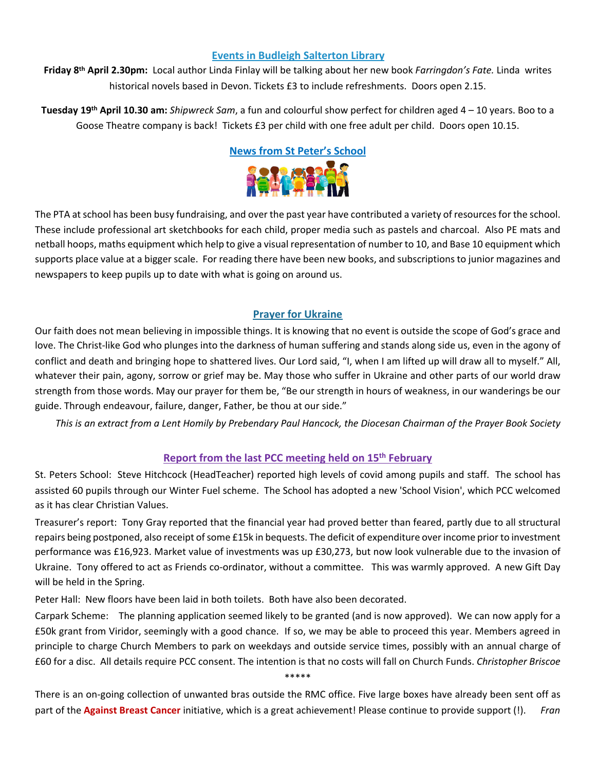#### **Events in Budleigh Salterton Library**

**Friday 8<sup>th</sup> April 2.30pm:** Local author Linda Finlay will be talking about her new book *Farringdon's Fate.* Linda writes historical novels based in Devon. Tickets £3 to include refreshments. Doors open 2.15.

**Tuesday 19<sup>th</sup> April 10.30 am:** *Shipwreck Sam*, a fun and colourful show perfect for children aged 4 – 10 years. Boo to a Goose Theatre company is back! Tickets £3 per child with one free adult per child. Doors open 10.15.



The PTA at school has been busy fundraising, and over the past year have contributed a variety of resources for the school. These include professional art sketchbooks for each child, proper media such as pastels and charcoal. Also PE mats and netball hoops, maths equipment which help to give a visual representation of number to 10, and Base 10 equipment which supports place value at a bigger scale. For reading there have been new books, and subscriptions to junior magazines and newspapers to keep pupils up to date with what is going on around us.

#### **Prayer for Ukraine**

Our faith does not mean believing in impossible things. It is knowing that no event is outside the scope of God's grace and love. The Christ-like God who plunges into the darkness of human suffering and stands along side us, even in the agony of conflict and death and bringing hope to shattered lives. Our Lord said, "I, when I am lifted up will draw all to myself." All, whatever their pain, agony, sorrow or grief may be. May those who suffer in Ukraine and other parts of our world draw strength from those words. May our prayer for them be, "Be our strength in hours of weakness, in our wanderings be our guide. Through endeavour, failure, danger, Father, be thou at our side."

*This* is an extract from a Lent Homily by Prebendary Paul Hancock, the Diocesan Chairman of the Prayer Book Society

#### **Report from the last PCC meeting held on 15<sup>th</sup> February**

St. Peters School: Steve Hitchcock (HeadTeacher) reported high levels of covid among pupils and staff. The school has assisted 60 pupils through our Winter Fuel scheme. The School has adopted a new 'School Vision', which PCC welcomed as it has clear Christian Values.

Treasurer's report: Tony Gray reported that the financial year had proved better than feared, partly due to all structural repairs being postponed, also receipt of some £15k in bequests. The deficit of expenditure over income prior to investment performance was £16,923. Market value of investments was up £30,273, but now look vulnerable due to the invasion of Ukraine. Tony offered to act as Friends co-ordinator, without a committee. This was warmly approved. A new Gift Day will be held in the Spring.

Peter Hall: New floors have been laid in both toilets. Both have also been decorated.

Carpark Scheme: The planning application seemed likely to be granted (and is now approved). We can now apply for a £50k grant from Viridor, seemingly with a good chance. If so, we may be able to proceed this year. Members agreed in principle to charge Church Members to park on weekdays and outside service times, possibly with an annual charge of £60 for a disc. All details require PCC consent. The intention is that no costs will fall on Church Funds. *Christopher Briscoe* \*\*\*\*\*

There is an on-going collection of unwanted bras outside the RMC office. Five large boxes have already been sent off as part of the **Against Breast Cancer** initiative, which is a great achievement! Please continue to provide support (!). Fran